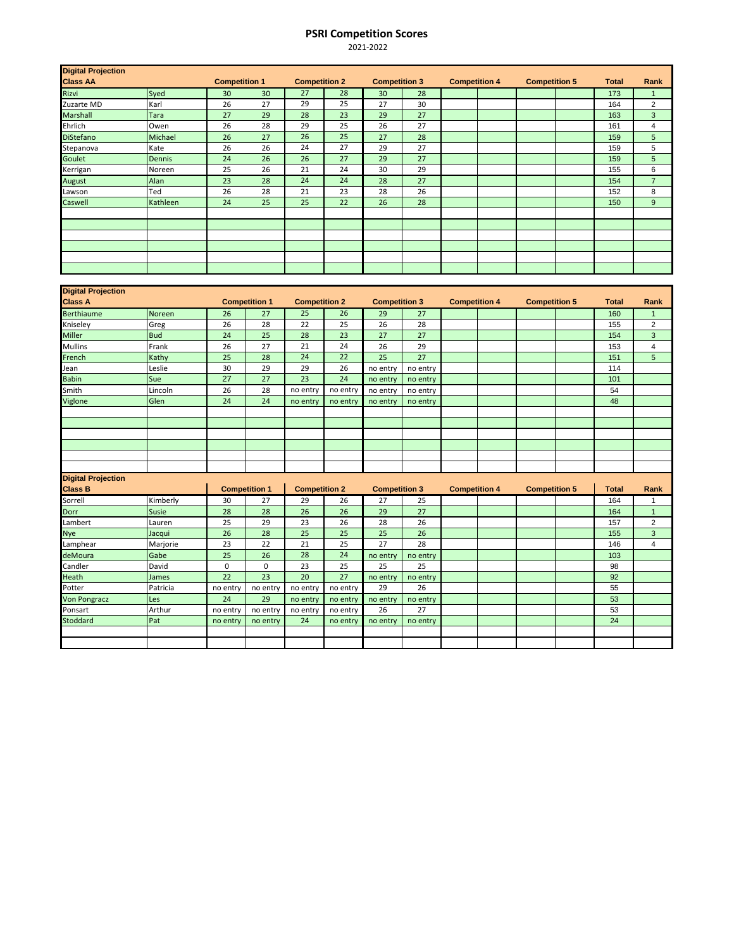## **PSRI Competition Scores**

2021-2022

| <b>Digital Projection</b> |          |                      |    |                      |    |                      |    |                      |  |                      |  |              |                |
|---------------------------|----------|----------------------|----|----------------------|----|----------------------|----|----------------------|--|----------------------|--|--------------|----------------|
| <b>Class AA</b>           |          | <b>Competition 1</b> |    | <b>Competition 2</b> |    | <b>Competition 3</b> |    | <b>Competition 4</b> |  | <b>Competition 5</b> |  | <b>Total</b> | Rank           |
| Rizvi                     | Syed     | 30                   | 30 | 27                   | 28 | 30                   | 28 |                      |  |                      |  | 173          | $\mathbf{1}$   |
| Zuzarte MD                | Karl     | 26                   | 27 | 29                   | 25 | 27                   | 30 |                      |  |                      |  | 164          | $\overline{2}$ |
| Marshall                  | Tara     | 27                   | 29 | 28                   | 23 | 29                   | 27 |                      |  |                      |  | 163          | 3              |
| Ehrlich                   | Owen     | 26                   | 28 | 29                   | 25 | 26                   | 27 |                      |  |                      |  | 161          | 4              |
| <b>DiStefano</b>          | Michael  | 26                   | 27 | 26                   | 25 | 27                   | 28 |                      |  |                      |  | 159          | 5              |
| Stepanova                 | Kate     | 26                   | 26 | 24                   | 27 | 29                   | 27 |                      |  |                      |  | 159          | 5              |
| Goulet                    | Dennis   | 24                   | 26 | 26                   | 27 | 29                   | 27 |                      |  |                      |  | 159          | 5              |
| Kerrigan                  | Noreen   | 25                   | 26 | 21                   | 24 | 30                   | 29 |                      |  |                      |  | 155          | 6              |
| August                    | Alan     | 23                   | 28 | 24                   | 24 | 28                   | 27 |                      |  |                      |  | 154          | $\overline{7}$ |
| Lawson                    | Ted      | 26                   | 28 | 21                   | 23 | 28                   | 26 |                      |  |                      |  | 152          | 8              |
| Caswell                   | Kathleen | 24                   | 25 | 25                   | 22 | 26                   | 28 |                      |  |                      |  | 150          | 9              |
|                           |          |                      |    |                      |    |                      |    |                      |  |                      |  |              |                |
|                           |          |                      |    |                      |    |                      |    |                      |  |                      |  |              |                |
|                           |          |                      |    |                      |    |                      |    |                      |  |                      |  |              |                |
|                           |          |                      |    |                      |    |                      |    |                      |  |                      |  |              |                |
|                           |          |                      |    |                      |    |                      |    |                      |  |                      |  |              |                |
|                           |          |                      |    |                      |    |                      |    |                      |  |                      |  |              |                |

| <b>Digital Projection</b> |              |                      |                      |                      |          |                      |          |                      |  |                      |  |              |                 |
|---------------------------|--------------|----------------------|----------------------|----------------------|----------|----------------------|----------|----------------------|--|----------------------|--|--------------|-----------------|
| <b>Class A</b>            |              | <b>Competition 1</b> |                      | <b>Competition 2</b> |          | <b>Competition 3</b> |          | <b>Competition 4</b> |  | <b>Competition 5</b> |  | <b>Total</b> | Rank            |
| <b>Berthiaume</b>         | Noreen       | 26                   | 27                   | 25                   | 26       | 29                   | 27       |                      |  |                      |  | 160          | -1              |
| Kniseley                  | Greg         | 26                   | 28                   | 22                   | 25       | 26                   | 28       |                      |  |                      |  | 155          | $\overline{2}$  |
| Miller                    | <b>Bud</b>   | 24                   | 25                   | 28                   | 23       | 27                   | 27       |                      |  |                      |  | 154          | 3               |
| Mullins                   | Frank        | 26                   | 27                   | 21                   | 24       | 26                   | 29       |                      |  |                      |  | 153          | $\overline{4}$  |
| French                    | Kathy        | 25                   | 28                   | 24                   | 22       | 25                   | 27       |                      |  |                      |  | 151          | $5\phantom{.0}$ |
| Jean                      | Leslie       | 30                   | 29                   | 29                   | 26       | no entry             | no entry |                      |  |                      |  | 114          |                 |
| <b>Babin</b>              | Sue          | $\overline{27}$      | 27                   | 23                   | 24       | no entry             | no entry |                      |  |                      |  | 101          |                 |
| Smith                     | Lincoln      | 26                   | 28                   | no entry             | no entry | no entry             | no entry |                      |  |                      |  | 54           |                 |
| Viglone                   | Glen         | 24                   | 24                   | no entry             | no entry | no entry             | no entry |                      |  |                      |  | 48           |                 |
|                           |              |                      |                      |                      |          |                      |          |                      |  |                      |  |              |                 |
|                           |              |                      |                      |                      |          |                      |          |                      |  |                      |  |              |                 |
|                           |              |                      |                      |                      |          |                      |          |                      |  |                      |  |              |                 |
|                           |              |                      |                      |                      |          |                      |          |                      |  |                      |  |              |                 |
|                           |              |                      |                      |                      |          |                      |          |                      |  |                      |  |              |                 |
|                           |              |                      |                      |                      |          |                      |          |                      |  |                      |  |              |                 |
| <b>Digital Projection</b> |              |                      |                      |                      |          |                      |          |                      |  |                      |  |              |                 |
| <b>Class B</b>            |              |                      | <b>Competition 1</b> | <b>Competition 2</b> |          | <b>Competition 3</b> |          | <b>Competition 4</b> |  | <b>Competition 5</b> |  | <b>Total</b> | Rank            |
| Sorrell                   | Kimberly     | 30                   | 27                   | 29                   | 26       | 27                   | 25       |                      |  |                      |  | 164          | 1               |
| Dorr                      | <b>Susie</b> | 28                   | 28                   | 26                   | 26       | 29                   | 27       |                      |  |                      |  | 164          | $\mathbf{1}$    |
| Lambert                   | Lauren       | 25                   | 29                   | 23                   | 26       | 28                   | 26       |                      |  |                      |  | 157          | $\overline{2}$  |
| <b>Nye</b>                | Jacqui       | 26                   | 28                   | 25                   | 25       | 25                   | 26       |                      |  |                      |  | 155          | 3               |
| Lamphear                  | Marjorie     | 23                   | 22                   | 21                   | 25       | 27                   | 28       |                      |  |                      |  | 146          | $\overline{4}$  |
| deMoura                   | Gabe         | 25                   | 26                   | 28                   | 24       | no entry             | no entry |                      |  |                      |  | 103          |                 |
| Candler                   | David        | 0                    | 0                    | 23                   | 25       | 25                   | 25       |                      |  |                      |  | 98           |                 |
| Heath                     | James        | 22                   | 23                   | 20                   | 27       | no entry             | no entry |                      |  |                      |  | 92           |                 |
| Potter                    | Patricia     | no entry             | no entry             | no entry             | no entry | 29                   | 26       |                      |  |                      |  | 55           |                 |
|                           |              |                      |                      |                      |          |                      |          |                      |  |                      |  |              |                 |
| <b>Von Pongracz</b>       | Les          | 24                   | 29                   | no entry             | no entry | no entry             | no entry |                      |  |                      |  | 53           |                 |
| Ponsart                   | Arthur       | no entry             | no entry             | no entry             | no entry | 26                   | 27       |                      |  |                      |  | 53           |                 |
| <b>Stoddard</b>           | Pat          | no entry             | no entry             | 24                   | no entry | no entry             | no entry |                      |  |                      |  | 24           |                 |
|                           |              |                      |                      |                      |          |                      |          |                      |  |                      |  |              |                 |